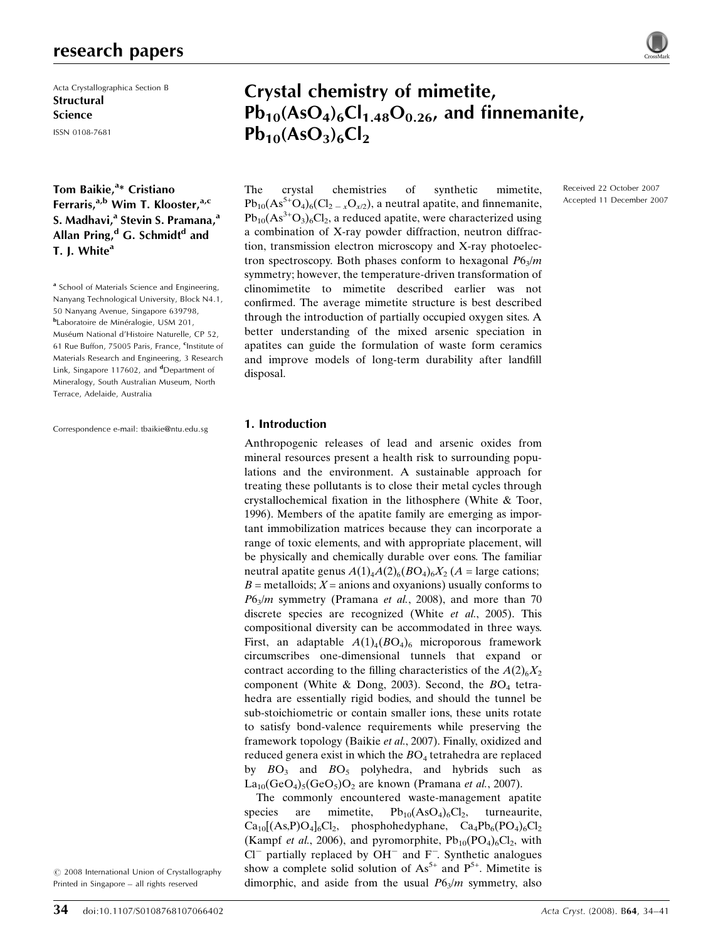# research papers

Acta Crystallographica Section B **Structural** Science ISSN 0108-7681

Tom Baikie,<sup>a\*</sup> Cristiano Ferraris, $a,b$  Wim T. Klooster, $a,c$ S. Madhavi,<sup>a</sup> Stevin S. Pramana,<sup>a</sup> Allan Pring, $d$  G. Schmidt<sup>d</sup> and T. I. White<sup>a</sup>

<sup>a</sup> School of Materials Science and Engineering, Nanyang Technological University, Block N4.1, 50 Nanyang Avenue, Singapore 639798, <sup>b</sup>Laboratoire de Minéralogie, USM 201, Muséum National d'Histoire Naturelle, CP 52, 61 Rue Buffon, 75005 Paris, France, <sup>c</sup>Institute of Materials Research and Engineering, 3 Research Link, Singapore 117602, and <sup>d</sup>Department of Mineralogy, South Australian Museum, North Terrace, Adelaide, Australia

Correspondence e-mail: tbaikie@ntu.edu.sg

 $\odot$  2008 International Union of Crystallography Printed in Singapore – all rights reserved

# Crystal chemistry of mimetite,  $Pb_{10}(AsO_4)_6Cl_{1.48}O_{0.26}$ , and finnemanite,  $Pb_{10}(AsO_3)_6Cl_2$

The crystal chemistries of synthetic mimetite,  $Pb_{10}(As<sup>5+</sup>O<sub>4</sub>)<sub>6</sub>(Cl<sub>2-x</sub>O<sub>x/2</sub>)$ , a neutral apatite, and finnemanite,  $Pb_{10}(As^{3+}O_3)_6Cl_2$ , a reduced apatite, were characterized using a combination of X-ray powder diffraction, neutron diffraction, transmission electron microscopy and X-ray photoelectron spectroscopy. Both phases conform to hexagonal  $P6<sub>3</sub>/m$ symmetry; however, the temperature-driven transformation of clinomimetite to mimetite described earlier was not confirmed. The average mimetite structure is best described through the introduction of partially occupied oxygen sites. A better understanding of the mixed arsenic speciation in apatites can guide the formulation of waste form ceramics and improve models of long-term durability after landfill disposal.

#### 1. Introduction

Anthropogenic releases of lead and arsenic oxides from mineral resources present a health risk to surrounding populations and the environment. A sustainable approach for treating these pollutants is to close their metal cycles through crystallochemical fixation in the lithosphere (White & Toor, 1996). Members of the apatite family are emerging as important immobilization matrices because they can incorporate a range of toxic elements, and with appropriate placement, will be physically and chemically durable over eons. The familiar neutral apatite genus  $A(1)_4A(2)_6(BO_4)_6X_2(A)$  = large cations;  $B =$  metalloids;  $X =$  anions and oxyanions) usually conforms to  $P6_3/m$  symmetry (Pramana et al., 2008), and more than 70 discrete species are recognized (White et al., 2005). This compositional diversity can be accommodated in three ways. First, an adaptable  $A(1)$ <sub>4</sub> $(BO_4)$ <sub>6</sub> microporous framework circumscribes one-dimensional tunnels that expand or contract according to the filling characteristics of the  $A(2)_{6}X_2$ component (White & Dong, 2003). Second, the  $BO<sub>4</sub>$  tetrahedra are essentially rigid bodies, and should the tunnel be sub-stoichiometric or contain smaller ions, these units rotate to satisfy bond-valence requirements while preserving the framework topology (Baikie et al., 2007). Finally, oxidized and reduced genera exist in which the  $BO<sub>4</sub>$  tetrahedra are replaced by  $BO_3$  and  $BO_5$  polyhedra, and hybrids such as  $La_{10}(GeO_4)_{5}(GeO_5)O_2$  are known (Pramana *et al.*, 2007).

The commonly encountered waste-management apatite species are mimetite,  $Pb_{10}(AsO_4)_6Cl_2$ , turneaurite,  $Ca_{10}[(As, P)O_4]_6Cl_2$ , phosphohedyphane,  $Ca_4Pb_6(PO_4)_6Cl_2$ (Kampf et al., 2006), and pyromorphite,  $Pb_{10}(PO_4)_6Cl_2$ , with  $Cl^-$  partially replaced by  $OH^-$  and  $F^-$ . Synthetic analogues show a complete solid solution of  $As^{5+}$  and  $P^{5+}$ . Mimetite is dimorphic, and aside from the usual  $P6<sub>3</sub>/m$  symmetry, also

Received 22 October 2007 Accepted 11 December 2007

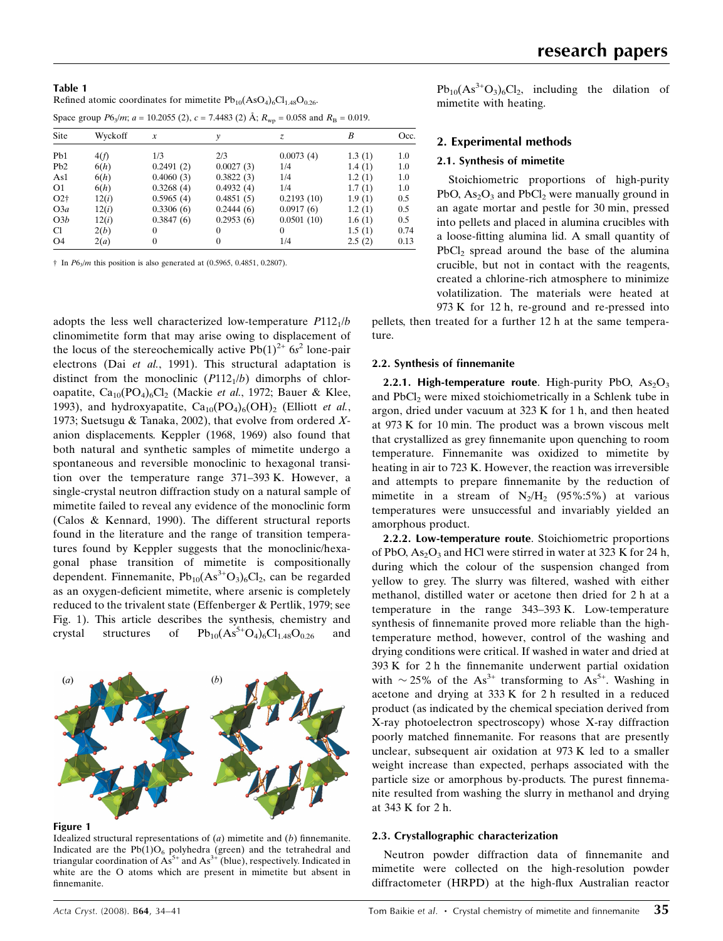| Table 1<br>Refined atomic coordinates for mimetite $Pb_{10}(AsO_4)_6Cl_{1.48}O_{0.26}$ .           |         |           |           |            |        |      |
|----------------------------------------------------------------------------------------------------|---------|-----------|-----------|------------|--------|------|
| Space group $P6_3/m$ ; $a = 10.2055$ (2), $c = 7.4483$ (2) Å; $R_{wp} = 0.058$ and $R_B = 0.019$ . |         |           |           |            |        |      |
| Site                                                                                               | Wyckoff | x         | y         | Z.         | B      | Occ. |
| Pb1                                                                                                | 4(f)    | 1/3       | 2/3       | 0.0073(4)  | 1.3(1) | 1.0  |
| P <sub>b</sub> 2                                                                                   | 6(h)    | 0.2491(2) | 0.0027(3) | 1/4        | 1.4(1) | 1.0  |
| As1                                                                                                | 6(h)    | 0.4060(3) | 0.3822(3) | 1/4        | 1.2(1) | 1.0  |
| O1                                                                                                 | 6(h)    | 0.3268(4) | 0.4932(4) | 1/4        | 1.7(1) | 1.0  |
| $O2\dagger$                                                                                        | 12(i)   | 0.5965(4) | 0.4851(5) | 0.2193(10) | 1.9(1) | 0.5  |
| O3a                                                                                                | 12(i)   | 0.3306(6) | 0.2444(6) | 0.0917(6)  | 1.2(1) | 0.5  |
| O3b                                                                                                | 12(i)   | 0.3847(6) | 0.2953(6) | 0.0501(10) | 1.6(1) | 0.5  |

Cl  $2(b)$  0 0 0 1.5 (1) 0.74 O4  $2(a)$  0 0  $1/4$  2.5 (2) 0.13

 $\dagger$  In  $P6_3/m$  this position is also generated at (0.5965, 0.4851, 0.2807).

adopts the less well characterized low-temperature  $P112_1/b$ clinomimetite form that may arise owing to displacement of the locus of the stereochemically active  $Pb(1)^{2+}$  6s<sup>2</sup> lone-pair electrons (Dai et al., 1991). This structural adaptation is distinct from the monoclinic  $(P112<sub>1</sub>/b)$  dimorphs of chloroapatite,  $Ca_{10}(PO_4)_6Cl_2$  (Mackie *et al.*, 1972; Bauer & Klee, 1993), and hydroxyapatite,  $Ca_{10}(PO_4)_6(OH)_2$  (Elliott et al., 1973; Suetsugu & Tanaka, 2002), that evolve from ordered Xanion displacements. Keppler (1968, 1969) also found that both natural and synthetic samples of mimetite undergo a spontaneous and reversible monoclinic to hexagonal transition over the temperature range 371–393 K. However, a single-crystal neutron diffraction study on a natural sample of mimetite failed to reveal any evidence of the monoclinic form (Calos & Kennard, 1990). The different structural reports found in the literature and the range of transition temperatures found by Keppler suggests that the monoclinic/hexagonal phase transition of mimetite is compositionally dependent. Finnemanite,  $Pb_{10}(As^{3+}O_3)_6Cl_2$ , can be regarded as an oxygen-deficient mimetite, where arsenic is completely reduced to the trivalent state (Effenberger & Pertlik, 1979; see Fig. 1). This article describes the synthesis, chemistry and crystal structures of  $Pb_{10}(As^{5+}O_4)_6Cl_{1.48}O_{0.26}$  and



Figure 1

Idealized structural representations of  $(a)$  mimetite and  $(b)$  finnemanite. Indicated are the  $Pb(1)O_6$  polyhedra (green) and the tetrahedral and triangular coordination of  $\mathbf{A} \mathbf{s}^{5+}$  and  $\mathbf{A} \mathbf{s}^{3+}$  (blue), respectively. Indicated in white are the O atoms which are present in mimetite but absent in finnemanite.

 $Pb_{10}(As^{3+}O_3)_6Cl_2$ , including the dilation of mimetite with heating.

#### 2. Experimental methods

#### 2.1. Synthesis of mimetite

Stoichiometric proportions of high-purity PbO,  $As<sub>2</sub>O<sub>3</sub>$  and PbCl<sub>2</sub> were manually ground in an agate mortar and pestle for 30 min, pressed into pellets and placed in alumina crucibles with a loose-fitting alumina lid. A small quantity of PbCl<sub>2</sub> spread around the base of the alumina crucible, but not in contact with the reagents, created a chlorine-rich atmosphere to minimize volatilization. The materials were heated at 973 K for 12 h, re-ground and re-pressed into

pellets, then treated for a further 12 h at the same temperature.

#### 2.2. Synthesis of finnemanite

2.2.1. High-temperature route. High-purity PbO,  $As_2O_3$ and PbCl<sub>2</sub> were mixed stoichiometrically in a Schlenk tube in argon, dried under vacuum at 323 K for 1 h, and then heated at 973 K for 10 min. The product was a brown viscous melt that crystallized as grey finnemanite upon quenching to room temperature. Finnemanite was oxidized to mimetite by heating in air to 723 K. However, the reaction was irreversible and attempts to prepare finnemanite by the reduction of mimetite in a stream of  $N_2/H_2$  (95%:5%) at various temperatures were unsuccessful and invariably yielded an amorphous product.

2.2.2. Low-temperature route. Stoichiometric proportions of PbO,  $As_2O_3$  and HCl were stirred in water at 323 K for 24 h, during which the colour of the suspension changed from yellow to grey. The slurry was filtered, washed with either methanol, distilled water or acetone then dried for 2 h at a temperature in the range 343–393 K. Low-temperature synthesis of finnemanite proved more reliable than the hightemperature method, however, control of the washing and drying conditions were critical. If washed in water and dried at 393 K for 2 h the finnemanite underwent partial oxidation with  $\sim$  25% of the As<sup>3+</sup> transforming to As<sup>5+</sup>. Washing in acetone and drying at 333 K for 2 h resulted in a reduced product (as indicated by the chemical speciation derived from X-ray photoelectron spectroscopy) whose X-ray diffraction poorly matched finnemanite. For reasons that are presently unclear, subsequent air oxidation at 973 K led to a smaller weight increase than expected, perhaps associated with the particle size or amorphous by-products. The purest finnemanite resulted from washing the slurry in methanol and drying at 343 K for 2 h.

#### 2.3. Crystallographic characterization

Neutron powder diffraction data of finnemanite and mimetite were collected on the high-resolution powder diffractometer (HRPD) at the high-flux Australian reactor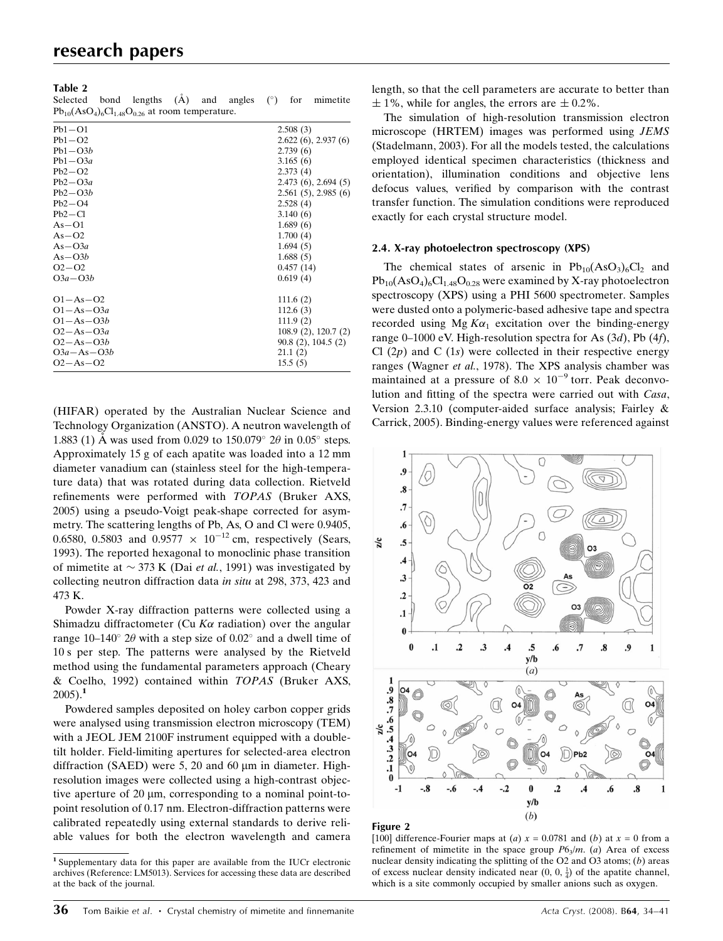#### Table 2

| bond lengths $(\dot{A})$ and angles $({}^{\circ})$ for<br>Selected | mimetite                 |
|--------------------------------------------------------------------|--------------------------|
| $Pb_{10}(AsO_4)_6Cl_{1.48}O_{0.26}$ at room temperature.           |                          |
| $Pb1 - O1$                                                         | 2.508(3)                 |
| $Pb1 - O2$                                                         | $2.622(6)$ , 2.937 $(6)$ |
| $Pb1 - O3b$                                                        | 2.739(6)                 |
| $Pb1 - O3a$                                                        | 3.165(6)                 |
| $Pb2-O2$                                                           | 2.373(4)                 |
| $Pb2-O3a$                                                          | $2.473(6)$ , $2.694(5)$  |
| $Pb2 - O3b$                                                        | $2.561(5)$ , 2.985 $(6)$ |
| $Pb2 - O4$                                                         | 2.528(4)                 |
| $Pb2-Cl$                                                           | 3.140(6)                 |
| $As-O1$                                                            | 1.689(6)                 |
| $As-O2$                                                            | 1.700(4)                 |
| $As-O3a$                                                           | 1.694(5)                 |
| $As-O3b$                                                           | 1.688(5)                 |
| $O2 - O2$                                                          | 0.457(14)                |
| $O3a-O3b$                                                          | 0.619(4)                 |
| $O1 - As - O2$                                                     | 111.6(2)                 |
| $O1 - As - O3a$                                                    | 112.6(3)                 |
| $O1 - As - O3b$                                                    | 111.9(2)                 |
| $O2 - As - O3a$                                                    | $108.9(2)$ , $120.7(2)$  |
| $O2 - As - O3b$                                                    | $90.8(2)$ , 104.5 $(2)$  |
| $O3a - As - O3b$                                                   | 21.1(2)                  |
| $O2 - As - O2$                                                     | 15.5(5)                  |

(HIFAR) operated by the Australian Nuclear Science and Technology Organization (ANSTO). A neutron wavelength of 1.883 (1) Å was used from 0.029 to 150.079 $^{\circ}$  2 $\theta$  in 0.05 $^{\circ}$  steps. Approximately 15 g of each apatite was loaded into a 12 mm diameter vanadium can (stainless steel for the high-temperature data) that was rotated during data collection. Rietveld refinements were performed with TOPAS (Bruker AXS, 2005) using a pseudo-Voigt peak-shape corrected for asymmetry. The scattering lengths of Pb, As, O and Cl were 0.9405, 0.6580, 0.5803 and 0.9577  $\times$  10<sup>-12</sup> cm, respectively (Sears, 1993). The reported hexagonal to monoclinic phase transition of mimetite at  $\sim$  373 K (Dai *et al.*, 1991) was investigated by collecting neutron diffraction data in situ at 298, 373, 423 and 473 K.

Powder X-ray diffraction patterns were collected using a Shimadzu diffractometer (Cu  $K\alpha$  radiation) over the angular range 10–140 $\degree$  2 $\theta$  with a step size of 0.02 $\degree$  and a dwell time of 10 s per step. The patterns were analysed by the Rietveld method using the fundamental parameters approach (Cheary & Coelho, 1992) contained within TOPAS (Bruker AXS,  $2005$ ).<sup>1</sup>

Powdered samples deposited on holey carbon copper grids were analysed using transmission electron microscopy (TEM) with a JEOL JEM 2100F instrument equipped with a doubletilt holder. Field-limiting apertures for selected-area electron diffraction (SAED) were 5, 20 and 60  $\mu$ m in diameter. Highresolution images were collected using a high-contrast objective aperture of 20  $\mu$ m, corresponding to a nominal point-topoint resolution of 0.17 nm. Electron-diffraction patterns were calibrated repeatedly using external standards to derive reliable values for both the electron wavelength and camera

length, so that the cell parameters are accurate to better than  $\pm$  1%, while for angles, the errors are  $\pm$  0.2%.

The simulation of high-resolution transmission electron microscope (HRTEM) images was performed using JEMS (Stadelmann, 2003). For all the models tested, the calculations employed identical specimen characteristics (thickness and orientation), illumination conditions and objective lens defocus values, verified by comparison with the contrast transfer function. The simulation conditions were reproduced exactly for each crystal structure model.

#### 2.4. X-ray photoelectron spectroscopy (XPS)

The chemical states of arsenic in  $Pb_{10}(AsO_3)_6Cl_2$  and  $Pb_{10}(AsO_4)_6Cl_{1.48}O_{0.28}$  were examined by X-ray photoelectron spectroscopy (XPS) using a PHI 5600 spectrometer. Samples were dusted onto a polymeric-based adhesive tape and spectra recorded using  $Mg K\alpha_1$  excitation over the binding-energy range 0–1000 eV. High-resolution spectra for As  $(3d)$ , Pb  $(4f)$ , Cl  $(2p)$  and C  $(1s)$  were collected in their respective energy ranges (Wagner et al., 1978). The XPS analysis chamber was maintained at a pressure of 8.0  $\times$  10<sup>-9</sup> torr. Peak deconvolution and fitting of the spectra were carried out with Casa, Version 2.3.10 (computer-aided surface analysis; Fairley & Carrick, 2005). Binding-energy values were referenced against



#### Figure 2

[100] difference-Fourier maps at (a)  $x = 0.0781$  and (b) at  $x = 0$  from a refinement of mimetite in the space group  $P6_3/m$ . (a) Area of excess nuclear density indicating the splitting of the O2 and O3 atoms; (b) areas of excess nuclear density indicated near  $(0, 0, \frac{1}{4})$  of the apatite channel, which is a site commonly occupied by smaller anions such as oxygen.

<sup>1</sup> Supplementary data for this paper are available from the IUCr electronic archives (Reference: LM5013). Services for accessing these data are described at the back of the journal.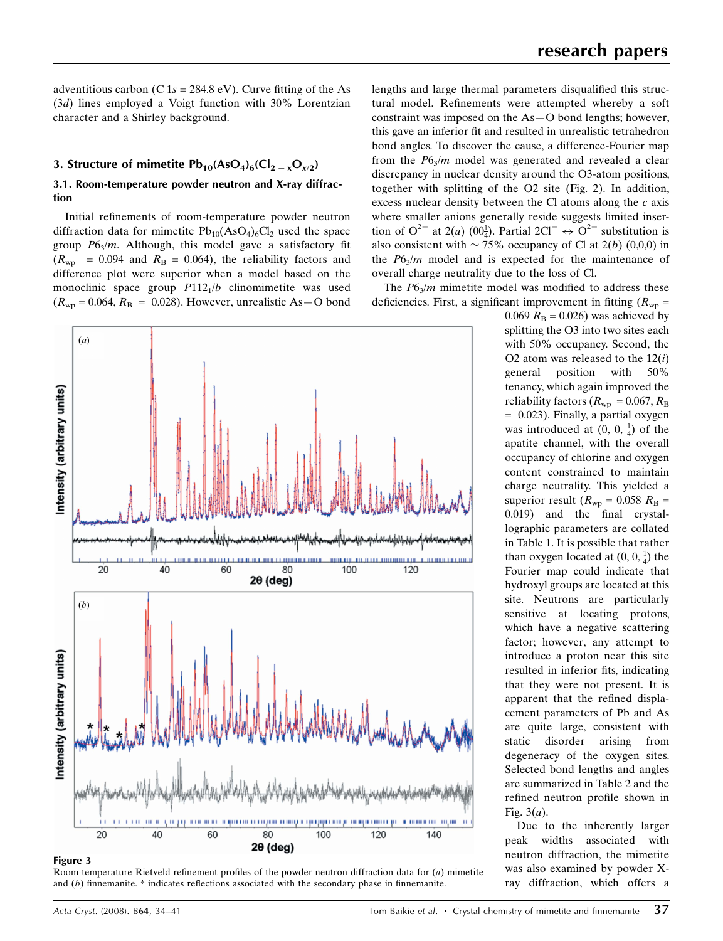adventitious carbon (C  $1s = 284.8$  eV). Curve fitting of the As (3d) lines employed a Voigt function with 30% Lorentzian character and a Shirley background.

### 3. Structure of mimetite  $Pb_{10}(AsO_4)_6(Cl_{2-x}O_{x/2})$

#### 3.1. Room-temperature powder neutron and X-ray diffraction

Initial refinements of room-temperature powder neutron diffraction data for mimetite  $Pb_{10}(AsO_4)_6Cl_2$  used the space group  $P6_3/m$ . Although, this model gave a satisfactory fit  $(R_{wp} = 0.094$  and  $R_B = 0.064$ ), the reliability factors and difference plot were superior when a model based on the monoclinic space group  $P112_1/b$  clinomimetite was used  $(R_{wp} = 0.064, R_B = 0.028)$ . However, unrealistic As – O bond





Room-temperature Rietveld refinement profiles of the powder neutron diffraction data for (a) mimetite and  $(b)$  finnemanite.  $*$  indicates reflections associated with the secondary phase in finnemanite.

lengths and large thermal parameters disqualified this structural model. Refinements were attempted whereby a soft constraint was imposed on the As—O bond lengths; however, this gave an inferior fit and resulted in unrealistic tetrahedron bond angles. To discover the cause, a difference-Fourier map from the  $P6_3/m$  model was generated and revealed a clear discrepancy in nuclear density around the O3-atom positions, together with splitting of the O2 site (Fig. 2). In addition, excess nuclear density between the Cl atoms along the c axis where smaller anions generally reside suggests limited insertion of  $O^{2-}$  at 2(*a*) (00<sup>1</sup><sub>4</sub>). Partial 2Cl<sup>-</sup>  $\leftrightarrow$   $O^{2-}$  substitution is also consistent with  $\sim$  75% occupancy of Cl at 2(b) (0,0,0) in the  $P6_3/m$  model and is expected for the maintenance of overall charge neutrality due to the loss of Cl.

The  $P6_3/m$  mimetite model was modified to address these deficiencies. First, a significant improvement in fitting  $(R_{\rm wn} =$ 

> 0.069  $R_B = 0.026$ ) was achieved by splitting the O3 into two sites each with 50% occupancy. Second, the O2 atom was released to the  $12(i)$ general position with 50% tenancy, which again improved the reliability factors ( $R_{\rm wp}$  = 0.067,  $R_{\rm B}$ )  $= 0.023$ ). Finally, a partial oxygen was introduced at  $(0, 0, \frac{1}{4})$  of the apatite channel, with the overall occupancy of chlorine and oxygen content constrained to maintain charge neutrality. This yielded a superior result ( $R_{\rm wp}$  = 0.058  $R_{\rm B}$  = 0.019) and the final crystallographic parameters are collated in Table 1. It is possible that rather than oxygen located at  $(0, 0, \frac{1}{4})$  the Fourier map could indicate that hydroxyl groups are located at this site. Neutrons are particularly sensitive at locating protons, which have a negative scattering factor; however, any attempt to introduce a proton near this site resulted in inferior fits, indicating that they were not present. It is apparent that the refined displacement parameters of Pb and As are quite large, consistent with static disorder arising from degeneracy of the oxygen sites. Selected bond lengths and angles are summarized in Table 2 and the refined neutron profile shown in Fig.  $3(a)$ .

> Due to the inherently larger peak widths associated with neutron diffraction, the mimetite was also examined by powder Xray diffraction, which offers a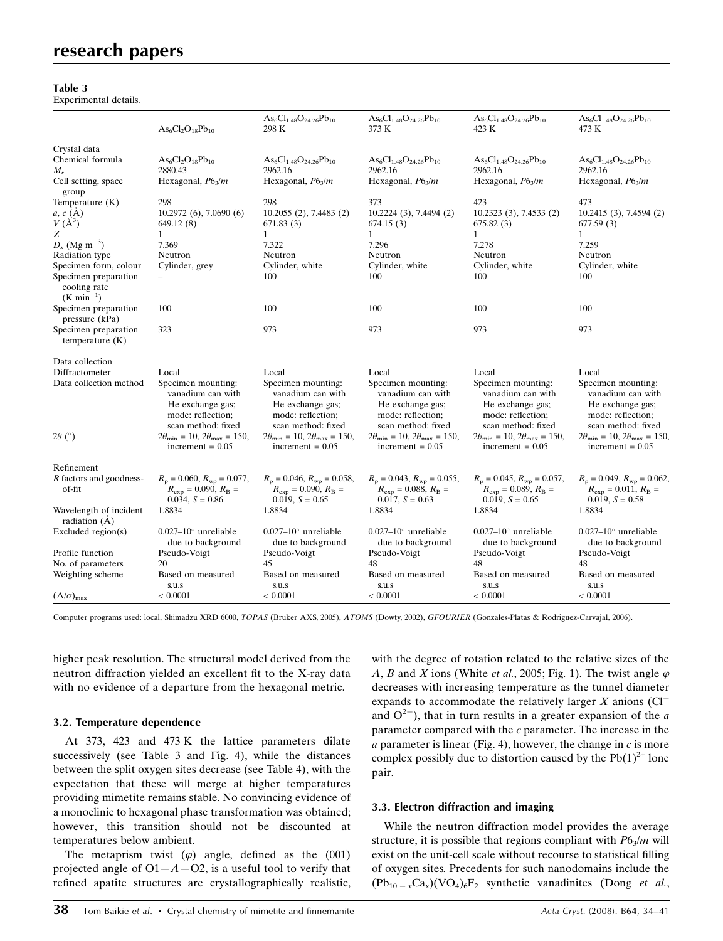#### Table 3

Experimental details.

|                                                                | $As_6Cl_2O_{18}Pb_{10}$                                                                                | $As_6Cl_{1.48}O_{24.26}Pb_{10}$<br>298 K                                                               | $As_6Cl_{1.48}O_{24.26}Pb_{10}$<br>373 K                                                               | $As_6Cl_{1.48}O_{24.26}Pb_{10}$<br>423 K                                                               | $As_6Cl_{1.48}O_{24.26}Pb_{10}$<br>473 K                                                               |
|----------------------------------------------------------------|--------------------------------------------------------------------------------------------------------|--------------------------------------------------------------------------------------------------------|--------------------------------------------------------------------------------------------------------|--------------------------------------------------------------------------------------------------------|--------------------------------------------------------------------------------------------------------|
| Crystal data                                                   |                                                                                                        |                                                                                                        |                                                                                                        |                                                                                                        |                                                                                                        |
| Chemical formula<br>$M_r$                                      | $As_6Cl_2O_{18}Pb_{10}$<br>2880.43                                                                     | $As_6Cl_{1.48}O_{24.26}Pb_{10}$<br>2962.16                                                             | $As_6Cl_{1.48}O_{24.26}Pb_{10}$<br>2962.16                                                             | $As_6Cl_{1.48}O_{24.26}Pb_{10}$<br>2962.16                                                             | $As_6Cl_{1.48}O_{24.26}Pb_{10}$<br>2962.16                                                             |
| Cell setting, space<br>group                                   | Hexagonal, $P6\frac{3}{m}$                                                                             | Hexagonal, $P6_3/m$                                                                                    | Hexagonal, $P6_3/m$                                                                                    | Hexagonal, $P6_3/m$                                                                                    | Hexagonal, $P6\frac{3}{m}$                                                                             |
| Temperature (K)                                                | 298                                                                                                    | 298                                                                                                    | 373                                                                                                    | 423                                                                                                    | 473                                                                                                    |
| a, c(A)                                                        | $10.2972(6)$ , 7.0690 $(6)$                                                                            | $10.2055(2)$ , 7.4483 $(2)$                                                                            | $10.2224(3)$ , 7.4494 $(2)$                                                                            | 10.2323(3), 7.4533(2)                                                                                  | 10.2415(3), 7.4594(2)                                                                                  |
| $V(\mathbf{A}^3)$                                              | 649.12 (8)                                                                                             | 671.83 (3)                                                                                             | 674.15 (3)                                                                                             | 675.82(3)                                                                                              | 677.59(3)                                                                                              |
| Z                                                              | $\mathbf{1}$                                                                                           | $\mathbf{1}$                                                                                           | $\mathbf{1}$                                                                                           | $\mathbf{1}$                                                                                           | 1                                                                                                      |
| $D_x$ (Mg m <sup>-3</sup> )                                    | 7.369                                                                                                  | 7.322                                                                                                  | 7.296                                                                                                  | 7.278                                                                                                  | 7.259                                                                                                  |
| Radiation type                                                 | Neutron                                                                                                | Neutron                                                                                                | Neutron                                                                                                | Neutron                                                                                                | Neutron                                                                                                |
| Specimen form, colour                                          | Cylinder, grey                                                                                         | Cylinder, white                                                                                        | Cylinder, white                                                                                        | Cylinder, white                                                                                        | Cylinder, white                                                                                        |
| Specimen preparation<br>cooling rate<br>$(K \text{ min}^{-1})$ |                                                                                                        | 100                                                                                                    | 100                                                                                                    | 100                                                                                                    | 100                                                                                                    |
| Specimen preparation<br>pressure (kPa)                         | 100                                                                                                    | 100                                                                                                    | 100                                                                                                    | 100                                                                                                    | 100                                                                                                    |
| Specimen preparation<br>temperature $(K)$                      | 323                                                                                                    | 973                                                                                                    | 973                                                                                                    | 973                                                                                                    | 973                                                                                                    |
| Data collection                                                |                                                                                                        |                                                                                                        |                                                                                                        |                                                                                                        |                                                                                                        |
| Diffractometer                                                 | Local                                                                                                  | Local                                                                                                  | Local                                                                                                  | Local                                                                                                  | Local                                                                                                  |
| Data collection method                                         | Specimen mounting:<br>vanadium can with<br>He exchange gas;<br>mode: reflection:<br>scan method: fixed | Specimen mounting:<br>vanadium can with<br>He exchange gas;<br>mode: reflection;<br>scan method: fixed | Specimen mounting:<br>vanadium can with<br>He exchange gas;<br>mode: reflection:<br>scan method: fixed | Specimen mounting:<br>vanadium can with<br>He exchange gas;<br>mode: reflection;<br>scan method: fixed | Specimen mounting:<br>vanadium can with<br>He exchange gas;<br>mode: reflection;<br>scan method: fixed |
| $2\theta$ (°)                                                  | $2\theta_{\min} = 10, 2\theta_{\max} = 150,$<br>increment = $0.05$                                     | $2\theta_{\min} = 10, 2\theta_{\max} = 150,$<br>increment = $0.05$                                     | $2\theta_{\min} = 10, 2\theta_{\max} = 150,$<br>increment = $0.05$                                     | $2\theta_{\min} = 10, 2\theta_{\max} = 150,$<br>increment = $0.05$                                     | $2\theta_{\min} = 10, 2\theta_{\max} = 150,$<br>increment = $0.05$                                     |
| Refinement                                                     |                                                                                                        |                                                                                                        |                                                                                                        |                                                                                                        |                                                                                                        |
| R factors and goodness-<br>of-fit                              | $R_p = 0.060$ , $R_{wp} = 0.077$ ,<br>$R_{\rm exp} = 0.090, R_{\rm B} =$<br>$0.034, S = 0.86$          | $R_p = 0.046$ , $R_{wp} = 0.058$ ,<br>$R_{\rm exp} = 0.090, R_{\rm B} =$<br>$0.019, S = 0.65$          | $R_p = 0.043$ , $R_{wp} = 0.055$ ,<br>$R_{\rm exp} = 0.088, R_{\rm B} =$<br>$0.017, S = 0.63$          | $R_p = 0.045$ , $R_{wp} = 0.057$ ,<br>$R_{\rm exp} = 0.089, R_{\rm B} =$<br>$0.019, S = 0.65$          | $R_p = 0.049$ , $R_{wp} = 0.062$ ,<br>$R_{\rm exp} = 0.011, R_{\rm B} =$<br>$0.019, S = 0.58$          |
| Wavelength of incident<br>radiation $(A)$                      | 1.8834                                                                                                 | 1.8834                                                                                                 | 1.8834                                                                                                 | 1.8834                                                                                                 | 1.8834                                                                                                 |
| Excluded region(s)                                             | $0.027-10^{\circ}$ unreliable<br>due to background                                                     | $0.027-10^{\circ}$ unreliable<br>due to background                                                     | $0.027-10^{\circ}$ unreliable<br>due to background                                                     | $0.027-10^{\circ}$ unreliable<br>due to background                                                     | $0.027-10^{\circ}$ unreliable<br>due to background                                                     |
| Profile function                                               | Pseudo-Voigt                                                                                           | Pseudo-Voigt                                                                                           | Pseudo-Voigt                                                                                           | Pseudo-Voigt                                                                                           | Pseudo-Voigt                                                                                           |
| No. of parameters                                              | 20                                                                                                     | 45                                                                                                     | 48                                                                                                     | 48                                                                                                     | 48                                                                                                     |
| Weighting scheme                                               | Based on measured<br>s.u.s                                                                             | Based on measured<br>s.u.s                                                                             | Based on measured<br>s.u.s                                                                             | Based on measured<br>s.u.s                                                                             | Based on measured<br>s.u.s                                                                             |
| $(\Delta/\sigma)_{\text{max}}$                                 | < 0.0001                                                                                               | ${}< 0.0001$                                                                                           | < 0.0001                                                                                               | < 0.0001                                                                                               | < 0.0001                                                                                               |

Computer programs used: local, Shimadzu XRD 6000, TOPAS (Bruker AXS, 2005), ATOMS (Dowty, 2002), GFOURIER (Gonzales-Platas & Rodriguez-Carvajal, 2006).

higher peak resolution. The structural model derived from the neutron diffraction yielded an excellent fit to the X-ray data with no evidence of a departure from the hexagonal metric.

#### 3.2. Temperature dependence

At 373, 423 and 473 K the lattice parameters dilate successively (see Table 3 and Fig. 4), while the distances between the split oxygen sites decrease (see Table 4), with the expectation that these will merge at higher temperatures providing mimetite remains stable. No convincing evidence of a monoclinic to hexagonal phase transformation was obtained; however, this transition should not be discounted at temperatures below ambient.

The metaprism twist  $(\varphi)$  angle, defined as the (001) projected angle of  $O1-A-O2$ , is a useful tool to verify that refined apatite structures are crystallographically realistic, with the degree of rotation related to the relative sizes of the A, B and X ions (White et al., 2005; Fig. 1). The twist angle  $\varphi$ decreases with increasing temperature as the tunnel diameter expands to accommodate the relatively larger  $X$  anions (Cl<sup>-</sup> and  $O^{2-}$ ), that in turn results in a greater expansion of the a parameter compared with the c parameter. The increase in the  $a$  parameter is linear (Fig. 4), however, the change in  $c$  is more complex possibly due to distortion caused by the  $Pb(1)^{2+}$  lone pair.

#### 3.3. Electron diffraction and imaging

While the neutron diffraction model provides the average structure, it is possible that regions compliant with  $P6<sub>3</sub>/m$  will exist on the unit-cell scale without recourse to statistical filling of oxygen sites. Precedents for such nanodomains include the  $(Pb_{10-x}Ca_{x})(VO_{4})_{6}F_{2}$  synthetic vanadinites (Dong *et al.*,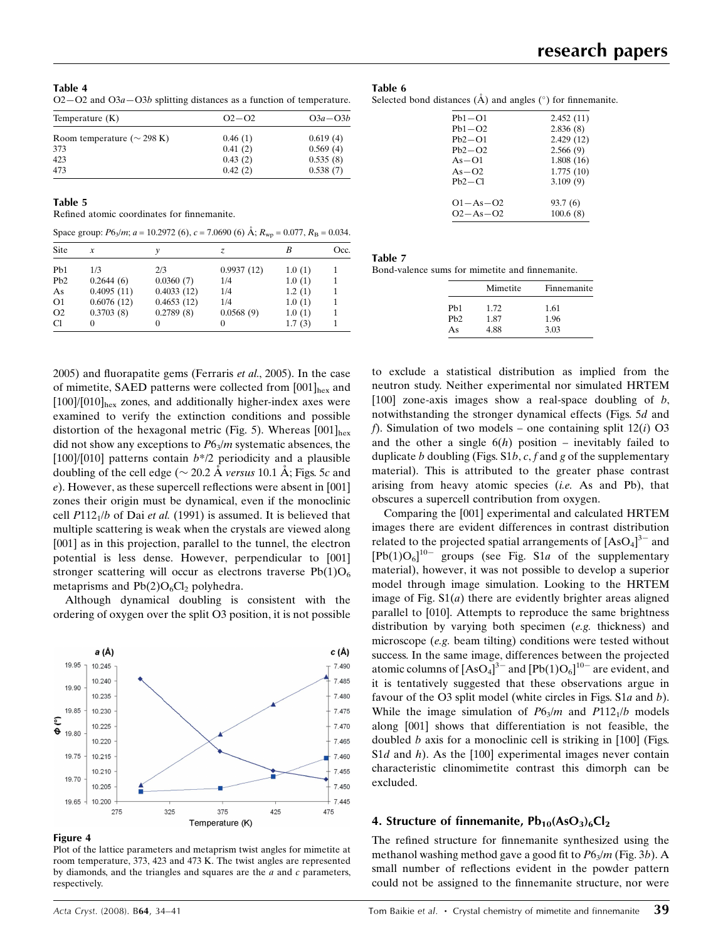| Table 4                                                                 |  |  |
|-------------------------------------------------------------------------|--|--|
| $O2-O2$ and $O3a-O3b$ splitting distances as a function of temperature. |  |  |

| Temperature $(K)$                | $O2 - O2$ | $O3a-O3b$ |  |
|----------------------------------|-----------|-----------|--|
| Room temperature ( $\sim$ 298 K) | 0.46(1)   | 0.619(4)  |  |
| 373                              | 0.41(2)   | 0.569(4)  |  |
| 423                              | 0.43(2)   | 0.535(8)  |  |
| 473                              | 0.42(2)   | 0.538(7)  |  |

#### Table 5

Refined atomic coordinates for finnemanite.

|  | Space group: $P6_3/m$ ; $a = 10.2972$ (6), $c = 7.0690$ (6) Å; $R_{wp} = 0.077$ , $R_B = 0.034$ . |  |  |
|--|---------------------------------------------------------------------------------------------------|--|--|
|  |                                                                                                   |  |  |

| Site           | x          | ν          | Z.         |        | Occ. |
|----------------|------------|------------|------------|--------|------|
| Pb1            | 1/3        | 2/3        | 0.9937(12) | 1.0(1) |      |
| Pb2            | 0.2644(6)  | 0.0360(7)  | 1/4        | 1.0(1) |      |
| As             | 0.4095(11) | 0.4033(12) | 1/4        | 1.2(1) |      |
| O <sub>1</sub> | 0.6076(12) | 0.4653(12) | 1/4        | 1.0(1) |      |
| O <sub>2</sub> | 0.3703(8)  | 0.2789(8)  | 0.0568(9)  | 1.0(1) |      |
| <b>Cl</b>      | $\Omega$   | 0          | $\theta$   | 1.7(3) |      |

2005) and fluorapatite gems (Ferraris et al., 2005). In the case of mimetite, SAED patterns were collected from  $[001]_{hex}$  and  $[100]/[010]_{hex}$  zones, and additionally higher-index axes were examined to verify the extinction conditions and possible distortion of the hexagonal metric (Fig. 5). Whereas  $[001]_{hex}$ did not show any exceptions to  $P6_3/m$  systematic absences, the [100]/[010] patterns contain  $b*/2$  periodicity and a plausible doubling of the cell edge ( $\sim$  20.2 Å versus 10.1 Å; Figs. 5c and e). However, as these supercell reflections were absent in [001] zones their origin must be dynamical, even if the monoclinic cell  $P112_1/b$  of Dai et al. (1991) is assumed. It is believed that multiple scattering is weak when the crystals are viewed along [001] as in this projection, parallel to the tunnel, the electron potential is less dense. However, perpendicular to [001] stronger scattering will occur as electrons traverse  $Pb(1)O<sub>6</sub>$ metaprisms and  $Pb(2)O_6Cl_2$  polyhedra.

Although dynamical doubling is consistent with the ordering of oxygen over the split O3 position, it is not possible



#### Figure 4

Plot of the lattice parameters and metaprism twist angles for mimetite at room temperature, 373, 423 and 473 K. The twist angles are represented by diamonds, and the triangles and squares are the  $a$  and  $c$  parameters, respectively.

#### Table 6

Selected bond distances  $(A)$  and angles  $(°)$  for finnemanite.

| $Pb1 - O1$     | 2.452(11) |
|----------------|-----------|
| $Pb1 - O2$     | 2.836(8)  |
| $Pb2 - O1$     | 2.429(12) |
| $Pb2 - O2$     | 2.566(9)  |
| $As - O1$      | 1.808(16) |
| $As - O2$      | 1.775(10) |
| $Pb2 - Cl$     | 3.109(9)  |
| $O1 - As - O2$ | 93.7(6)   |
| $O2 - As - O2$ | 100.6(8)  |

| - 1<br>۰,<br>×<br>×<br>I |  |
|--------------------------|--|
|--------------------------|--|

Bond-valence sums for mimetite and finnemanite.

|                         | Mimetite      | Finnemanite  |
|-------------------------|---------------|--------------|
| Pb1<br>P <sub>b</sub> 2 | 1.72.<br>1.87 | 1.61<br>1.96 |
| As                      | 4.88          | 3.03         |

to exclude a statistical distribution as implied from the neutron study. Neither experimental nor simulated HRTEM [100] zone-axis images show a real-space doubling of  $b$ , notwithstanding the stronger dynamical effects (Figs. 5d and f). Simulation of two models – one containing split  $12(i)$  O3 and the other a single  $6(h)$  position – inevitably failed to duplicate b doubling (Figs.  $S1b$ , c, f and g of the supplementary material). This is attributed to the greater phase contrast arising from heavy atomic species (i.e. As and Pb), that obscures a supercell contribution from oxygen.

Comparing the [001] experimental and calculated HRTEM images there are evident differences in contrast distribution related to the projected spatial arrangements of  $[AsO<sub>4</sub>]<sup>3-</sup>$  and  $[{\rm Pb(1)O_6}]^{10-}$  groups (see Fig. S1a of the supplementary material), however, it was not possible to develop a superior model through image simulation. Looking to the HRTEM image of Fig.  $S1(a)$  there are evidently brighter areas aligned parallel to [010]. Attempts to reproduce the same brightness distribution by varying both specimen (e.g. thickness) and microscope (e.g. beam tilting) conditions were tested without success. In the same image, differences between the projected atomic columns of  $[AsO<sub>4</sub>]<sup>3-</sup>$  and  $[Pb(1)O<sub>6</sub>]<sup>10-</sup>$  are evident, and it is tentatively suggested that these observations argue in favour of the O3 split model (white circles in Figs.  $S1a$  and b). While the image simulation of  $P6\sqrt{m}$  and  $P112\sqrt{b}$  models along [001] shows that differentiation is not feasible, the doubled  $b$  axis for a monoclinic cell is striking in [100] (Figs. S1 $d$  and  $h$ ). As the [100] experimental images never contain characteristic clinomimetite contrast this dimorph can be excluded.

#### 4. Structure of finnemanite,  $Pb_{10}(AsO_3)_6Cl_2$

The refined structure for finnemanite synthesized using the methanol washing method gave a good fit to  $P6_3/m$  (Fig. 3b). A small number of reflections evident in the powder pattern could not be assigned to the finnemanite structure, nor were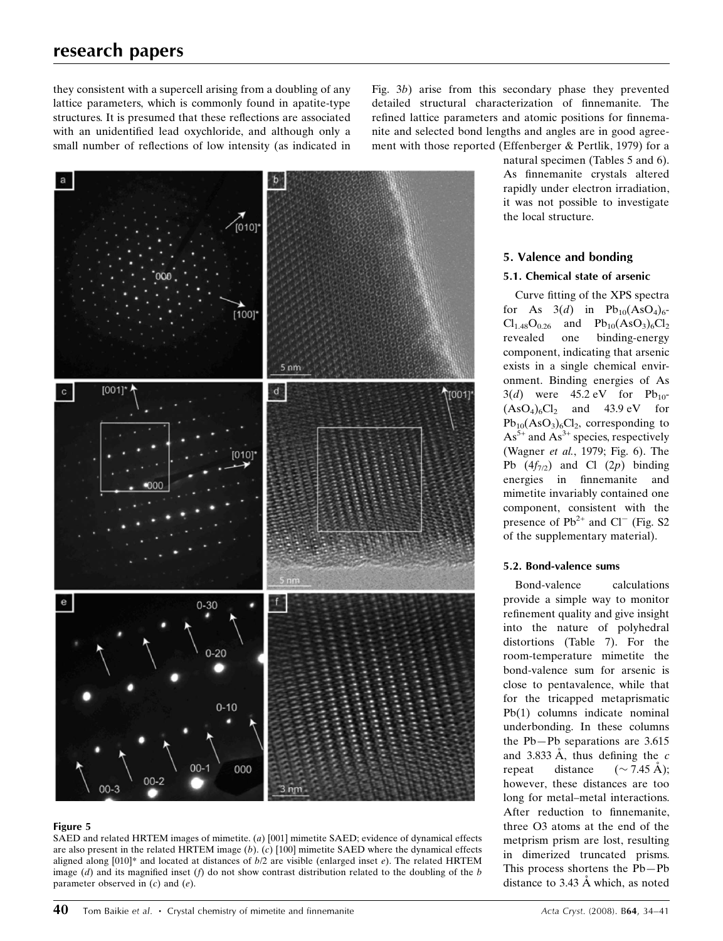## research papers

they consistent with a supercell arising from a doubling of any lattice parameters, which is commonly found in apatite-type structures. It is presumed that these reflections are associated with an unidentified lead oxychloride, and although only a small number of reflections of low intensity (as indicated in Fig. 3b) arise from this secondary phase they prevented detailed structural characterization of finnemanite. The refined lattice parameters and atomic positions for finnemanite and selected bond lengths and angles are in good agreement with those reported (Effenberger & Pertlik, 1979) for a



#### Figure 5

SAED and related HRTEM images of mimetite. (a) [001] mimetite SAED; evidence of dynamical effects are also present in the related HRTEM image  $(b)$ . (c) [100] mimetite SAED where the dynamical effects aligned along  $[010]^*$  and located at distances of  $b/2$  are visible (enlarged inset e). The related HRTEM image (d) and its magnified inset (f) do not show contrast distribution related to the doubling of the b parameter observed in  $(c)$  and  $(e)$ .

natural specimen (Tables 5 and 6). As finnemanite crystals altered rapidly under electron irradiation, it was not possible to investigate the local structure.

#### 5. Valence and bonding

#### 5.1. Chemical state of arsenic

Curve fitting of the XPS spectra for As  $3(d)$  in  $Pb_{10}(AsO_4)_{6}$ - $Cl_{1.48}O_{0.26}$  and  $Pb_{10}(AsO_3)_6Cl_2$ revealed one binding-energy component, indicating that arsenic exists in a single chemical environment. Binding energies of As  $3(d)$  were  $45.2 \text{ eV}$  for  $\text{Pb}_{10}$ - $(AsO<sub>4</sub>)<sub>6</sub>Cl<sub>2</sub>$  and 43.9 eV for  $Pb_{10}(AsO_3)_6Cl_2$ , corresponding to  $As<sup>5+</sup>$  and  $As<sup>3+</sup>$  species, respectively (Wagner et al., 1979; Fig. 6). The Pb  $(4f_{7/2})$  and Cl  $(2p)$  binding energies in finnemanite and mimetite invariably contained one component, consistent with the presence of  $Pb^{2+}$  and  $Cl^-$  (Fig. S2 of the supplementary material).

#### 5.2. Bond-valence sums

Bond-valence calculations provide a simple way to monitor refinement quality and give insight into the nature of polyhedral distortions (Table 7). For the room-temperature mimetite the bond-valence sum for arsenic is close to pentavalence, while that for the tricapped metaprismatic Pb(1) columns indicate nominal underbonding. In these columns the Pb—Pb separations are 3.615 and 3.833 Å, thus defining the  $c$ repeat distance  $({\sim} 7.45 \text{ Å})$ ; however, these distances are too long for metal–metal interactions. After reduction to finnemanite, three O3 atoms at the end of the metprism prism are lost, resulting in dimerized truncated prisms. This process shortens the Pb—Pb distance to 3.43  $\AA$  which, as noted